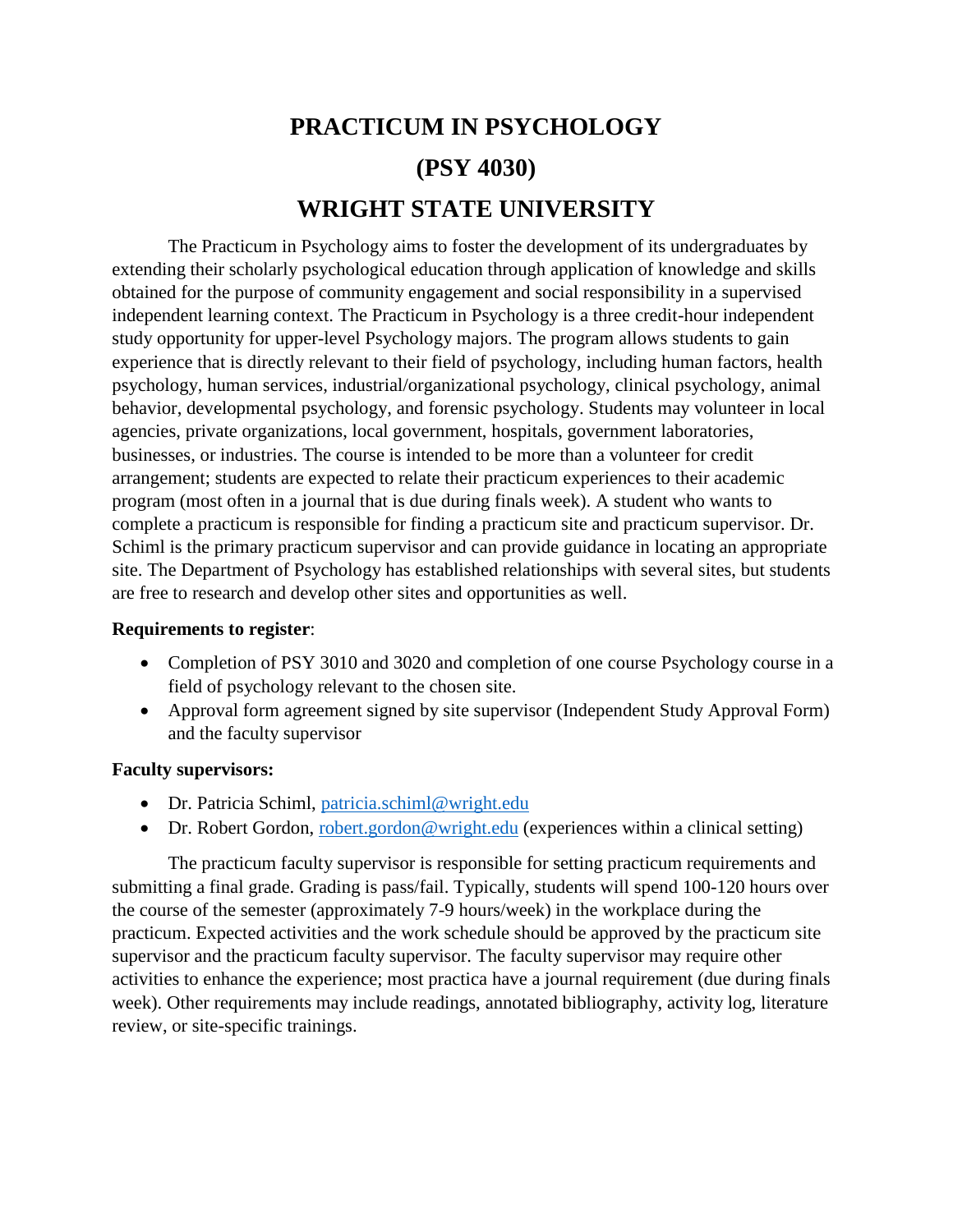# **PRACTICUM IN PSYCHOLOGY (PSY 4030) WRIGHT STATE UNIVERSITY**

The Practicum in Psychology aims to foster the development of its undergraduates by extending their scholarly psychological education through application of knowledge and skills obtained for the purpose of community engagement and social responsibility in a supervised independent learning context. The Practicum in Psychology is a three credit-hour independent study opportunity for upper-level Psychology majors. The program allows students to gain experience that is directly relevant to their field of psychology, including human factors, health psychology, human services, industrial/organizational psychology, clinical psychology, animal behavior, developmental psychology, and forensic psychology. Students may volunteer in local agencies, private organizations, local government, hospitals, government laboratories, businesses, or industries. The course is intended to be more than a volunteer for credit arrangement; students are expected to relate their practicum experiences to their academic program (most often in a journal that is due during finals week). A student who wants to complete a practicum is responsible for finding a practicum site and practicum supervisor. Dr. Schiml is the primary practicum supervisor and can provide guidance in locating an appropriate site. The Department of Psychology has established relationships with several sites, but students are free to research and develop other sites and opportunities as well.

## **Requirements to register**:

- Completion of PSY 3010 and 3020 and completion of one course Psychology course in a field of psychology relevant to the chosen site.
- Approval form agreement signed by site supervisor (Independent Study Approval Form) and the faculty supervisor

# **Faculty supervisors:**

- Dr. Patricia Schiml, [patricia.schiml@wright.edu](mailto:patricia.schiml@wright.edu)
- Dr. Robert Gordon, [robert.gordon@wright.edu](mailto:robert.gordon@wright.edu) (experiences within a clinical setting)

The practicum faculty supervisor is responsible for setting practicum requirements and submitting a final grade. Grading is pass/fail. Typically, students will spend 100-120 hours over the course of the semester (approximately 7-9 hours/week) in the workplace during the practicum. Expected activities and the work schedule should be approved by the practicum site supervisor and the practicum faculty supervisor. The faculty supervisor may require other activities to enhance the experience; most practica have a journal requirement (due during finals week). Other requirements may include readings, annotated bibliography, activity log, literature review, or site-specific trainings.